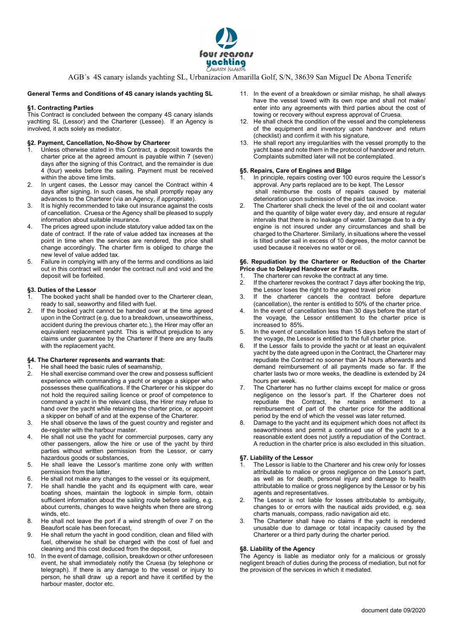

AGB´s 4S canary islands yachting SL, Urbanizacion Amarilla Golf, S/N, 38639 San Miguel De Abona Tenerife

## General Terms and Conditions of 4S canary islands yachting SL

# §1. Contracting Parties

This Contract is concluded between the company 4S canary islands yachting SL (Lessor) and the Charterer (Lessee). If an Agency is involved, it acts solely as mediator.

## §2. Payment, Cancellation, No-Show by Charterer

- Unless otherwise stated in this Contract, a deposit towards the charter price at the agreed amount is payable within 7 (seven) days after the signing of this Contract, and the remainder is due 4 (four) weeks before the sailing. Payment must be received within the above time limits.
- 2. In urgent cases, the Lessor may cancel the Contract within 4 days after signing. In such cases, he shall promptly repay any advances to the Charterer (via an Agency, if appropriate).
- 3. It is highly recommended to take out insurance against the costs of cancellation. Cruesa or the Agency shall be pleased to supply information about suitable insurance.
- 4. The prices agreed upon include statutory value added tax on the date of contract. If the rate of value added tax increases at the point in time when the services are rendered, the price shall change accordingly. The charter firm is obliged to charge the new level of value added tax.
- 5. Failure in complying with any of the terms and conditions as laid out in this contract will render the contract null and void and the deposit will be forfeited.

# §3. Duties of the Lessor

- The booked yacht shall be handed over to the Charterer clean, ready to sail, seaworthy and filled with fuel.
- 2. If the booked yacht cannot be handed over at the time agreed upon in the Contract (e.g. due to a breakdown, unseaworthiness, accident during the previous charter etc.), the Hirer may offer an equivalent replacement yacht. This is without prejudice to any claims under guarantee by the Charterer if there are any faults with the replacement yacht.

# §4. The Charterer represents and warrants that:

- He shall heed the basic rules of seamanship.
- 2. He shall exercise command over the crew and possess sufficient experience with commanding a yacht or engage a skipper who possesses these qualifications. If the Charterer or his skipper do not hold the required sailing licence or proof of competence to command a yacht in the relevant class, the Hirer may refuse to hand over the yacht while retaining the charter price, or appoint a skipper on behalf of and at the expense of the Charterer.
- 3. He shall observe the laws of the guest country and register and de-register with the harbour master.
- 4. He shall not use the yacht for commercial purposes, carry any other passengers, allow the hire or use of the yacht by third parties without written permission from the Lessor, or carry hazardous goods or substances,
- 5. He shall leave the Lessor's maritime zone only with written permission from the latter,
- 6. He shall not make any changes to the vessel or its equipment,
- 7. He shall handle the yacht and its equipment with care, wear boating shoes, maintain the logbook in simple form, obtain sufficient information about the sailing route before sailing, e.g. about currents, changes to wave heights when there are strong winds, etc.
- 8. He shall not leave the port if a wind strength of over 7 on the Beaufort scale has been forecast,
- 9. He shall return the yacht in good condition, clean and filled with fuel, otherwise he shall be charged with the cost of fuel and cleaning and this cost deduced from the deposit,
- 10. In the event of damage, collision, breakdown or other unforeseen event, he shall immediately notify the Cruesa (by telephone or telegraph). If there is any damage to the vessel or injury to person, he shall draw up a report and have it certified by the harbour master, doctor etc.
- 11. In the event of a breakdown or similar mishap, he shall always have the vessel towed with its own rope and shall not make/ enter into any agreements with third parties about the cost of towing or recovery without express approval of Cruesa.
- 12. He shall check the condition of the vessel and the completeness of the equipment and inventory upon handover and return (checklist) and confirm it with his signature,
- 13. He shall report any irregularities with the vessel promptly to the yacht base and note them in the protocol of handover and return. Complaints submitted later will not be contemplated.

# §5. Repairs, Care of Engines and Bilge

- In principle, repairs costing over 100 euros require the Lessor's approval. Any parts replaced are to be kept. The Lessor shall reimburse the costs of repairs caused by material deterioration upon submission of the paid tax invoice.
- 2. The Charterer shall check the level of the oil and coolant water and the quantity of bilge water every day, and ensure at regular intervals that there is no leakage of water. Damage due to a dry engine is not insured under any circumstances and shall be charged to the Charterer. Similarly, in situations where the vessel is tilted under sail in excess of 10 degrees, the motor cannot be used because it receives no water or oil.

#### §6. Repudiation by the Charterer or Reduction of the Charter Price due to Delayed Handover or Faults.

- 1. The charterer can revoke the contract at any time.
- 2. If the charterer revokes the contract 7 days after booking the trip, the Lessor loses the right to the agreed travel price
- 3. If the charterer cancels the contract before departure (cancellation), the renter is entitled to 50% of the charter price.
- 4. In the event of cancellation less than 30 days before the start of the voyage, the Lessor entitlement to the charter price is increased to 85%.
- 5. In the event of cancellation less than 15 days before the start of the voyage, the Lessor is entitled to the full charter price.
- If the Lessor fails to provide the yacht or at least an equivalent yacht by the date agreed upon in the Contract, the Charterer may repudiate the Contract no sooner than 24 hours afterwards and demand reimbursement of all payments made so far. If the charter lasts two or more weeks, the deadline is extended by 24 hours per week.
- The Charterer has no further claims except for malice or gross negligence on the lessor's part. If the Charterer does not repudiate the Contract, he retains entitlement to a reimbursement of part of the charter price for the additional period by the end of which the vessel was later returned.
- Damage to the yacht and its equipment which does not affect its seaworthiness and permit a continued use of the yacht to a reasonable extent does not justify a repudiation of the Contract. A reduction in the charter price is also excluded in this situation.

# §7. Liability of the Lessor

- The Lessor is liable to the Charterer and his crew only for losses attributable to malice or gross negligence on the Lessor's part, as well as for death, personal injury and damage to health attributable to malice or gross negligence by the Lessor or by his agents and representatives.
- 2. The Lessor is not liable for losses attributable to ambiguity, changes to or errors with the nautical aids provided, e.g. sea charts manuals, compass, radio navigation aid etc.
- 3. The Charterer shall have no claims if the yacht is rendered unusable due to damage or total incapacity caused by the Charterer or a third party during the charter period.

# §8. Liability of the Agency

The Agency is liable as mediator only for a malicious or grossly negligent breach of duties during the process of mediation, but not for the provision of the services in which it mediated.